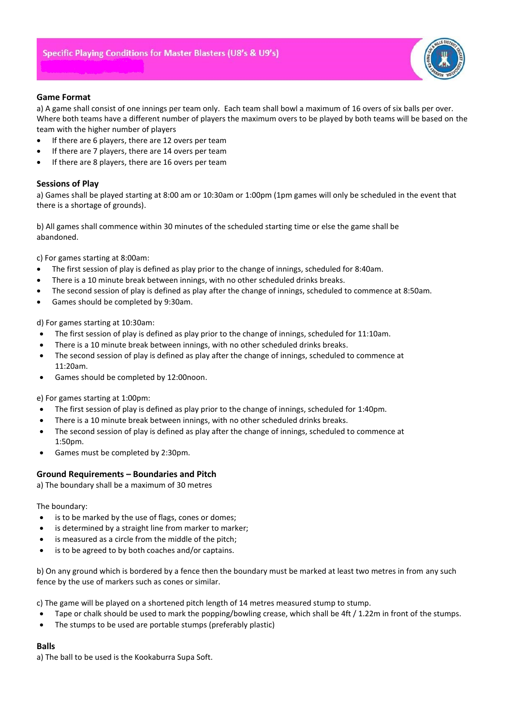

## **Game Format**

a) A game shall consist of one innings per team only. Each team shall bowl a maximum of 16 overs of six balls per over. Where both teams have a different number of players the maximum overs to be played by both teams will be based on the team with the higher number of players

- If there are 6 players, there are 12 overs per team
- If there are 7 players, there are 14 overs per team
- If there are 8 players, there are 16 overs per team

## **Sessions of Play**

a) Games shall be played starting at 8:00 am or 10:30am or 1:00pm (1pm games will only be scheduled in the event that there is a shortage of grounds).

b) All games shall commence within 30 minutes of the scheduled starting time or else the game shall be abandoned.

c) For games starting at 8:00am:

- The first session of play is defined as play prior to the change of innings, scheduled for 8:40am.
- There is a 10 minute break between innings, with no other scheduled drinks breaks.
- The second session of play is defined as play after the change of innings, scheduled to commence at 8:50am.
- Games should be completed by 9:30am.

d) For games starting at 10:30am:

- The first session of play is defined as play prior to the change of innings, scheduled for 11:10am.
- There is a 10 minute break between innings, with no other scheduled drinks breaks.
- The second session of play is defined as play after the change of innings, scheduled to commence at 11:20am.
- Games should be completed by 12:00noon.

e) For games starting at 1:00pm:

- The first session of play is defined as play prior to the change of innings, scheduled for 1:40pm.
- There is a 10 minute break between innings, with no other scheduled drinks breaks.
- The second session of play is defined as play after the change of innings, scheduled to commence at 1:50pm.
- Games must be completed by 2:30pm.

## **Ground Requirements – Boundaries and Pitch**

a) The boundary shall be a maximum of 30 metres

The boundary:

- is to be marked by the use of flags, cones or domes;
- is determined by a straight line from marker to marker;
- is measured as a circle from the middle of the pitch;
- is to be agreed to by both coaches and/or captains.

b) On any ground which is bordered by a fence then the boundary must be marked at least two metres in from any such fence by the use of markers such as cones or similar.

c) The game will be played on a shortened pitch length of 14 metres measured stump to stump.

- Tape or chalk should be used to mark the popping/bowling crease, which shall be 4ft / 1.22m in front of the stumps.
- The stumps to be used are portable stumps (preferably plastic)

## **Balls**

a) The ball to be used is the Kookaburra Supa Soft.